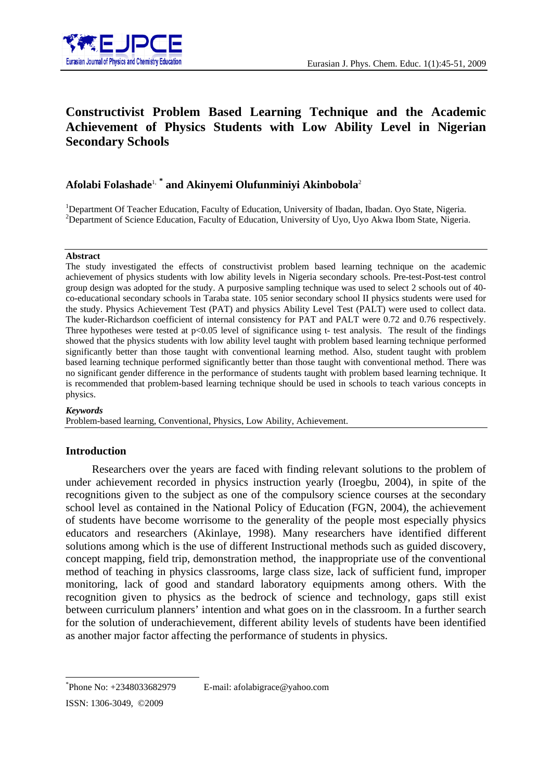

# **Constructivist Problem Based Learning Technique and the Academic Achievement of Physics Students with Low Ability Level in Nigerian Secondary Schools**

# **Afolabi Folashade**1, **\* and Akinyemi Olufunminiyi Akinbobola**<sup>2</sup>

<sup>1</sup>Department Of Teacher Education, Faculty of Education, University of Ibadan, Ibadan. Oyo State, Nigeria.<br><sup>2</sup>Department of Science Education, Faculty of Education, University of Uyo, Uyo, Akua Ibam State, Nigeria. <sup>2</sup>Department of Science Education, Faculty of Education, University of Uyo, Uyo Akwa Ibom State, Nigeria.

#### **Abstract**

The study investigated the effects of constructivist problem based learning technique on the academic achievement of physics students with low ability levels in Nigeria secondary schools. Pre-test-Post-test control group design was adopted for the study. A purposive sampling technique was used to select 2 schools out of 40 co-educational secondary schools in Taraba state. 105 senior secondary school II physics students were used for the study. Physics Achievement Test (PAT) and physics Ability Level Test (PALT) were used to collect data. The kuder-Richardson coefficient of internal consistency for PAT and PALT were 0.72 and 0.76 respectively. Three hypotheses were tested at  $p<0.05$  level of significance using t- test analysis. The result of the findings showed that the physics students with low ability level taught with problem based learning technique performed significantly better than those taught with conventional learning method. Also, student taught with problem based learning technique performed significantly better than those taught with conventional method. There was no significant gender difference in the performance of students taught with problem based learning technique. It is recommended that problem-based learning technique should be used in schools to teach various concepts in physics.

#### *Keywords*

Problem-based learning, Conventional, Physics, Low Ability, Achievement.

# **Introduction**

Researchers over the years are faced with finding relevant solutions to the problem of under achievement recorded in physics instruction yearly (Iroegbu, 2004), in spite of the recognitions given to the subject as one of the compulsory science courses at the secondary school level as contained in the National Policy of Education (FGN, 2004), the achievement of students have become worrisome to the generality of the people most especially physics educators and researchers (Akinlaye, 1998). Many researchers have identified different solutions among which is the use of different Instructional methods such as guided discovery, concept mapping, field trip, demonstration method, the inappropriate use of the conventional method of teaching in physics classrooms, large class size, lack of sufficient fund, improper monitoring, lack of good and standard laboratory equipments among others. With the recognition given to physics as the bedrock of science and technology, gaps still exist between curriculum planners' intention and what goes on in the classroom. In a further search for the solution of underachievement, different ability levels of students have been identified as another major factor affecting the performance of students in physics.

-

E-mail: afolabigrace@yahoo.com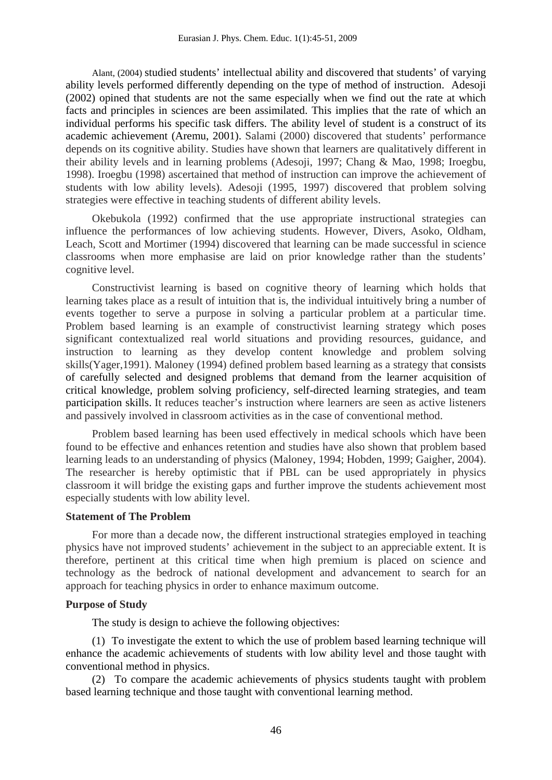Alant, (2004) studied students' intellectual ability and discovered that students' of varying ability levels performed differently depending on the type of method of instruction. Adesoji (2002) opined that students are not the same especially when we find out the rate at which facts and principles in sciences are been assimilated. This implies that the rate of which an individual performs his specific task differs. The ability level of student is a construct of its academic achievement (Aremu, 2001). Salami (2000) discovered that students' performance depends on its cognitive ability. Studies have shown that learners are qualitatively different in their ability levels and in learning problems (Adesoji, 1997; Chang & Mao, 1998; Iroegbu, 1998). Iroegbu (1998) ascertained that method of instruction can improve the achievement of students with low ability levels). Adesoji (1995, 1997) discovered that problem solving strategies were effective in teaching students of different ability levels.

Okebukola (1992) confirmed that the use appropriate instructional strategies can influence the performances of low achieving students. However, Divers, Asoko, Oldham, Leach, Scott and Mortimer (1994) discovered that learning can be made successful in science classrooms when more emphasise are laid on prior knowledge rather than the students' cognitive level.

Constructivist learning is based on cognitive theory of learning which holds that learning takes place as a result of intuition that is, the individual intuitively bring a number of events together to serve a purpose in solving a particular problem at a particular time. Problem based learning is an example of constructivist learning strategy which poses significant contextualized real world situations and providing resources, guidance, and instruction to learning as they develop content knowledge and problem solving skills(Yager,1991). Maloney (1994) defined problem based learning as a strategy that consists of carefully selected and designed problems that demand from the learner acquisition of critical knowledge, problem solving proficiency, self-directed learning strategies, and team participation skills. It reduces teacher's instruction where learners are seen as active listeners and passively involved in classroom activities as in the case of conventional method.

Problem based learning has been used effectively in medical schools which have been found to be effective and enhances retention and studies have also shown that problem based learning leads to an understanding of physics (Maloney, 1994; Hobden, 1999; Gaigher, 2004). The researcher is hereby optimistic that if PBL can be used appropriately in physics classroom it will bridge the existing gaps and further improve the students achievement most especially students with low ability level.

### **Statement of The Problem**

For more than a decade now, the different instructional strategies employed in teaching physics have not improved students' achievement in the subject to an appreciable extent. It is therefore, pertinent at this critical time when high premium is placed on science and technology as the bedrock of national development and advancement to search for an approach for teaching physics in order to enhance maximum outcome.

# **Purpose of Study**

The study is design to achieve the following objectives:

(1) To investigate the extent to which the use of problem based learning technique will enhance the academic achievements of students with low ability level and those taught with conventional method in physics.

(2) To compare the academic achievements of physics students taught with problem based learning technique and those taught with conventional learning method.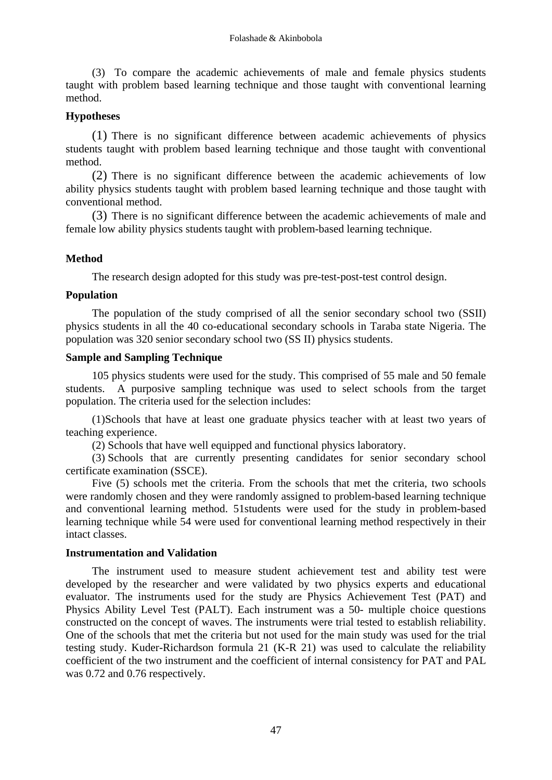(3) To compare the academic achievements of male and female physics students taught with problem based learning technique and those taught with conventional learning method.

# **Hypotheses**

(1) There is no significant difference between academic achievements of physics students taught with problem based learning technique and those taught with conventional method.

(2) There is no significant difference between the academic achievements of low ability physics students taught with problem based learning technique and those taught with conventional method.

(3) There is no significant difference between the academic achievements of male and female low ability physics students taught with problem-based learning technique.

# **Method**

The research design adopted for this study was pre-test-post-test control design.

# **Population**

The population of the study comprised of all the senior secondary school two (SSII) physics students in all the 40 co-educational secondary schools in Taraba state Nigeria. The population was 320 senior secondary school two (SS II) physics students.

# **Sample and Sampling Technique**

105 physics students were used for the study. This comprised of 55 male and 50 female students. A purposive sampling technique was used to select schools from the target population. The criteria used for the selection includes:

(1)Schools that have at least one graduate physics teacher with at least two years of teaching experience.

(2) Schools that have well equipped and functional physics laboratory.

(3) Schools that are currently presenting candidates for senior secondary school certificate examination (SSCE).

Five (5) schools met the criteria. From the schools that met the criteria, two schools were randomly chosen and they were randomly assigned to problem-based learning technique and conventional learning method. 51students were used for the study in problem-based learning technique while 54 were used for conventional learning method respectively in their intact classes.

# **Instrumentation and Validation**

The instrument used to measure student achievement test and ability test were developed by the researcher and were validated by two physics experts and educational evaluator. The instruments used for the study are Physics Achievement Test (PAT) and Physics Ability Level Test (PALT). Each instrument was a 50- multiple choice questions constructed on the concept of waves. The instruments were trial tested to establish reliability. One of the schools that met the criteria but not used for the main study was used for the trial testing study. Kuder-Richardson formula 21 (K-R 21) was used to calculate the reliability coefficient of the two instrument and the coefficient of internal consistency for PAT and PAL was 0.72 and 0.76 respectively.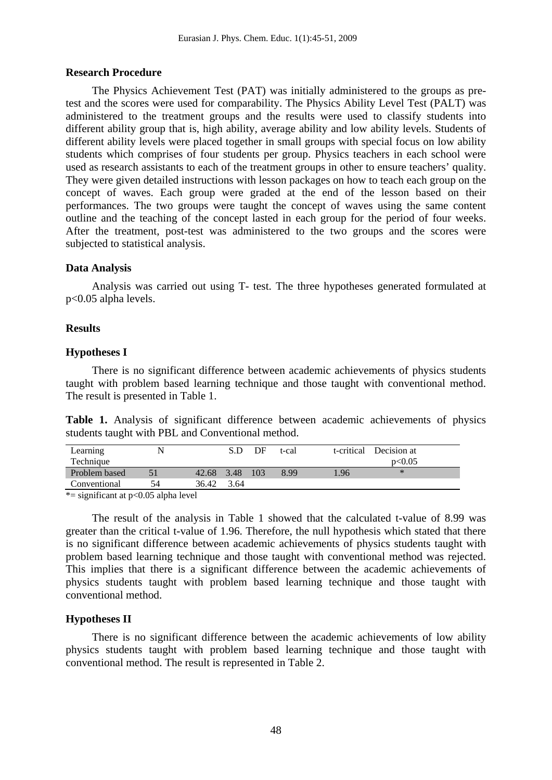#### **Research Procedure**

The Physics Achievement Test (PAT) was initially administered to the groups as pretest and the scores were used for comparability. The Physics Ability Level Test (PALT) was administered to the treatment groups and the results were used to classify students into different ability group that is, high ability, average ability and low ability levels. Students of different ability levels were placed together in small groups with special focus on low ability students which comprises of four students per group. Physics teachers in each school were used as research assistants to each of the treatment groups in other to ensure teachers' quality. They were given detailed instructions with lesson packages on how to teach each group on the concept of waves. Each group were graded at the end of the lesson based on their performances. The two groups were taught the concept of waves using the same content outline and the teaching of the concept lasted in each group for the period of four weeks. After the treatment, post-test was administered to the two groups and the scores were subjected to statistical analysis.

#### **Data Analysis**

Analysis was carried out using T- test. The three hypotheses generated formulated at p<0.05 alpha levels.

#### **Results**

#### **Hypotheses I**

There is no significant difference between academic achievements of physics students taught with problem based learning technique and those taught with conventional method. The result is presented in Table 1.

**Table 1.** Analysis of significant difference between academic achievements of physics students taught with PBL and Conventional method.

| Learning      | N           |       | S. D | DF  | t-cal | t-critical | Decision at |  |
|---------------|-------------|-------|------|-----|-------|------------|-------------|--|
| Technique     |             |       |      |     |       |            | p<0.05      |  |
| Problem based |             | 42.68 | 3.48 | 103 | 8.99  | 1.96       | $\ast$      |  |
| Conventional  | 54          | 36.42 | 3.64 |     |       |            |             |  |
| .             | _ _ _ _ _ _ |       |      |     |       |            |             |  |

 $*$ = significant at p<0.05 alpha level

The result of the analysis in Table 1 showed that the calculated t-value of 8.99 was greater than the critical t-value of 1.96. Therefore, the null hypothesis which stated that there is no significant difference between academic achievements of physics students taught with problem based learning technique and those taught with conventional method was rejected. This implies that there is a significant difference between the academic achievements of physics students taught with problem based learning technique and those taught with conventional method.

#### **Hypotheses II**

There is no significant difference between the academic achievements of low ability physics students taught with problem based learning technique and those taught with conventional method. The result is represented in Table 2.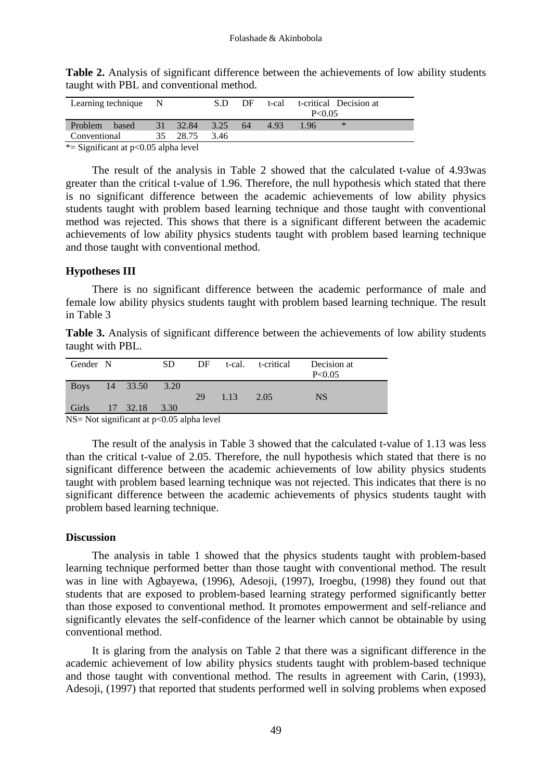| Learning technique N |    |          | S.D. | DF | t-cal | P < 0.05 | t-critical Decision at |  |
|----------------------|----|----------|------|----|-------|----------|------------------------|--|
| Problem<br>hased     |    | 31 32.84 | 3.25 | 64 | 4.93  | 196      | $\ast$                 |  |
| Conventional         | 35 | 28.75    | 3.46 |    |       |          |                        |  |

**Table 2.** Analysis of significant difference between the achievements of low ability students taught with PBL and conventional method.

 $*$ = Significant at p<0.05 alpha level

The result of the analysis in Table 2 showed that the calculated t-value of 4.93was greater than the critical t-value of 1.96. Therefore, the null hypothesis which stated that there is no significant difference between the academic achievements of low ability physics students taught with problem based learning technique and those taught with conventional method was rejected. This shows that there is a significant different between the academic achievements of low ability physics students taught with problem based learning technique and those taught with conventional method.

### **Hypotheses III**

There is no significant difference between the academic performance of male and female low ability physics students taught with problem based learning technique. The result in Table 3

Table 3. Analysis of significant difference between the achievements of low ability students taught with PBL.

| Gender N    |          | <b>SD</b> | DF. |                   | t-cal. t-critical | Decision at |  |
|-------------|----------|-----------|-----|-------------------|-------------------|-------------|--|
|             |          |           |     |                   |                   | P<0.05      |  |
| <b>Boys</b> | 14 33.50 | 3.20      |     |                   |                   |             |  |
|             |          |           | 29  | $\overline{1.13}$ | 2.05              | <b>NS</b>   |  |
| Girls       | 17 32.18 | 3.30      |     |                   |                   |             |  |

 $NS= Not$  significant at  $p<0.05$  alpha level

The result of the analysis in Table 3 showed that the calculated t-value of 1.13 was less than the critical t-value of 2.05. Therefore, the null hypothesis which stated that there is no significant difference between the academic achievements of low ability physics students taught with problem based learning technique was not rejected. This indicates that there is no significant difference between the academic achievements of physics students taught with problem based learning technique.

#### **Discussion**

The analysis in table 1 showed that the physics students taught with problem-based learning technique performed better than those taught with conventional method. The result was in line with Agbayewa, (1996), Adesoji, (1997), Iroegbu, (1998) they found out that students that are exposed to problem-based learning strategy performed significantly better than those exposed to conventional method. It promotes empowerment and self-reliance and significantly elevates the self-confidence of the learner which cannot be obtainable by using conventional method.

It is glaring from the analysis on Table 2 that there was a significant difference in the academic achievement of low ability physics students taught with problem-based technique and those taught with conventional method. The results in agreement with Carin, (1993), Adesoji, (1997) that reported that students performed well in solving problems when exposed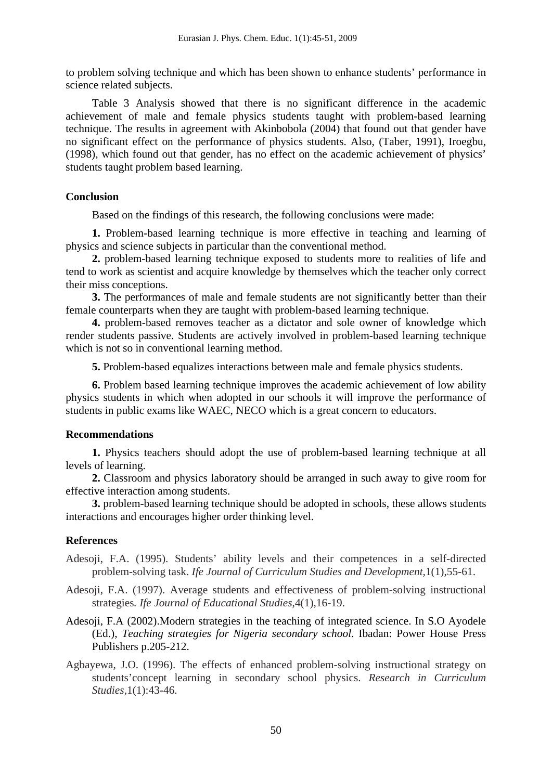to problem solving technique and which has been shown to enhance students' performance in science related subjects.

Table 3 Analysis showed that there is no significant difference in the academic achievement of male and female physics students taught with problem-based learning technique. The results in agreement with Akinbobola (2004) that found out that gender have no significant effect on the performance of physics students. Also, (Taber, 1991), Iroegbu, (1998), which found out that gender, has no effect on the academic achievement of physics' students taught problem based learning.

# **Conclusion**

Based on the findings of this research, the following conclusions were made:

**1.** Problem-based learning technique is more effective in teaching and learning of physics and science subjects in particular than the conventional method.

**2.** problem-based learning technique exposed to students more to realities of life and tend to work as scientist and acquire knowledge by themselves which the teacher only correct their miss conceptions.

**3.** The performances of male and female students are not significantly better than their female counterparts when they are taught with problem-based learning technique.

**4.** problem-based removes teacher as a dictator and sole owner of knowledge which render students passive. Students are actively involved in problem-based learning technique which is not so in conventional learning method.

**5.** Problem-based equalizes interactions between male and female physics students.

**6.** Problem based learning technique improves the academic achievement of low ability physics students in which when adopted in our schools it will improve the performance of students in public exams like WAEC, NECO which is a great concern to educators.

# **Recommendations**

**1.** Physics teachers should adopt the use of problem-based learning technique at all levels of learning.

**2.** Classroom and physics laboratory should be arranged in such away to give room for effective interaction among students.

**3.** problem-based learning technique should be adopted in schools, these allows students interactions and encourages higher order thinking level.

# **References**

- Adesoji, F.A. (1995). Students' ability levels and their competences in a self-directed problem-solving task. *Ife Journal of Curriculum Studies and Development,*1(1),55-61.
- Adesoji, F.A. (1997). Average students and effectiveness of problem-solving instructional strategies*. Ife Journal of Educational Studies*,4(1),16-19.
- Adesoji, F.A (2002).Modern strategies in the teaching of integrated science. In S.O Ayodele (Ed.), *Teaching strategies for Nigeria secondary school*. Ibadan: Power House Press Publishers p.205-212.
- Agbayewa, J.O. (1996). The effects of enhanced problem-solving instructional strategy on students'concept learning in secondary school physics. *Research in Curriculum Studies,*1(1):43-46.